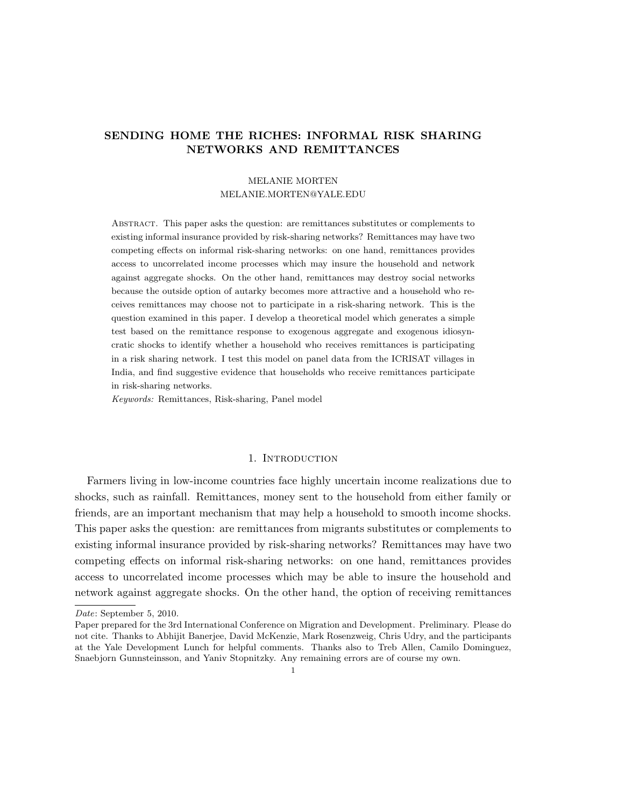# SENDING HOME THE RICHES: INFORMAL RISK SHARING NETWORKS AND REMITTANCES

## MELANIE MORTEN MELANIE.MORTEN@YALE.EDU

Abstract. This paper asks the question: are remittances substitutes or complements to existing informal insurance provided by risk-sharing networks? Remittances may have two competing effects on informal risk-sharing networks: on one hand, remittances provides access to uncorrelated income processes which may insure the household and network against aggregate shocks. On the other hand, remittances may destroy social networks because the outside option of autarky becomes more attractive and a household who receives remittances may choose not to participate in a risk-sharing network. This is the question examined in this paper. I develop a theoretical model which generates a simple test based on the remittance response to exogenous aggregate and exogenous idiosyncratic shocks to identify whether a household who receives remittances is participating in a risk sharing network. I test this model on panel data from the ICRISAT villages in India, and find suggestive evidence that households who receive remittances participate in risk-sharing networks.

Keywords: Remittances, Risk-sharing, Panel model

### 1. INTRODUCTION

Farmers living in low-income countries face highly uncertain income realizations due to shocks, such as rainfall. Remittances, money sent to the household from either family or friends, are an important mechanism that may help a household to smooth income shocks. This paper asks the question: are remittances from migrants substitutes or complements to existing informal insurance provided by risk-sharing networks? Remittances may have two competing effects on informal risk-sharing networks: on one hand, remittances provides access to uncorrelated income processes which may be able to insure the household and network against aggregate shocks. On the other hand, the option of receiving remittances

Date: September 5, 2010.

Paper prepared for the 3rd International Conference on Migration and Development. Preliminary. Please do not cite. Thanks to Abhijit Banerjee, David McKenzie, Mark Rosenzweig, Chris Udry, and the participants at the Yale Development Lunch for helpful comments. Thanks also to Treb Allen, Camilo Dominguez, Snaebjorn Gunnsteinsson, and Yaniv Stopnitzky. Any remaining errors are of course my own.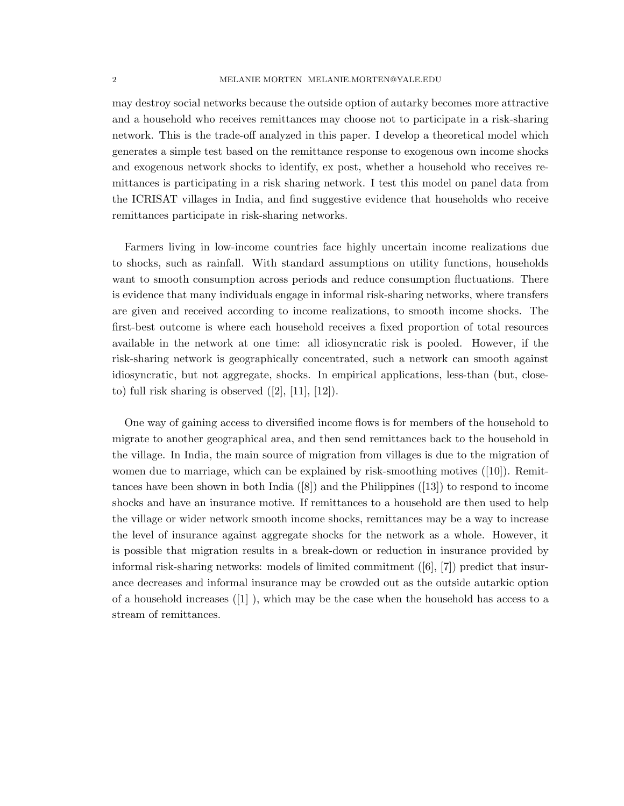may destroy social networks because the outside option of autarky becomes more attractive and a household who receives remittances may choose not to participate in a risk-sharing network. This is the trade-off analyzed in this paper. I develop a theoretical model which generates a simple test based on the remittance response to exogenous own income shocks and exogenous network shocks to identify, ex post, whether a household who receives remittances is participating in a risk sharing network. I test this model on panel data from the ICRISAT villages in India, and find suggestive evidence that households who receive remittances participate in risk-sharing networks.

Farmers living in low-income countries face highly uncertain income realizations due to shocks, such as rainfall. With standard assumptions on utility functions, households want to smooth consumption across periods and reduce consumption fluctuations. There is evidence that many individuals engage in informal risk-sharing networks, where transfers are given and received according to income realizations, to smooth income shocks. The first-best outcome is where each household receives a fixed proportion of total resources available in the network at one time: all idiosyncratic risk is pooled. However, if the risk-sharing network is geographically concentrated, such a network can smooth against idiosyncratic, but not aggregate, shocks. In empirical applications, less-than (but, closeto) full risk sharing is observed  $([2], [11], [12])$ .

One way of gaining access to diversified income flows is for members of the household to migrate to another geographical area, and then send remittances back to the household in the village. In India, the main source of migration from villages is due to the migration of women due to marriage, which can be explained by risk-smoothing motives ([10]). Remittances have been shown in both India ([8]) and the Philippines ([13]) to respond to income shocks and have an insurance motive. If remittances to a household are then used to help the village or wider network smooth income shocks, remittances may be a way to increase the level of insurance against aggregate shocks for the network as a whole. However, it is possible that migration results in a break-down or reduction in insurance provided by informal risk-sharing networks: models of limited commitment ([6], [7]) predict that insurance decreases and informal insurance may be crowded out as the outside autarkic option of a household increases  $([1]$ , which may be the case when the household has access to a stream of remittances.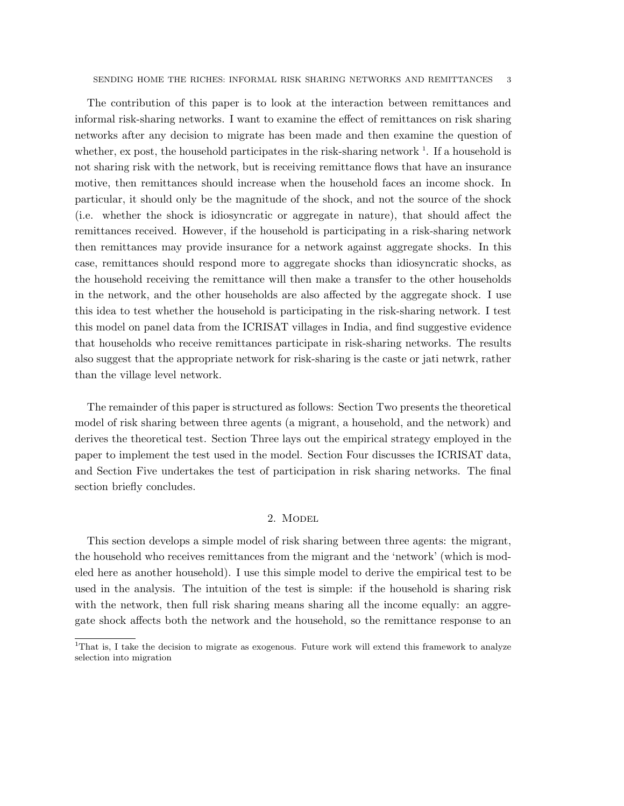The contribution of this paper is to look at the interaction between remittances and informal risk-sharing networks. I want to examine the effect of remittances on risk sharing networks after any decision to migrate has been made and then examine the question of whether, ex post, the household participates in the risk-sharing network  $\frac{1}{1}$ . If a household is not sharing risk with the network, but is receiving remittance flows that have an insurance motive, then remittances should increase when the household faces an income shock. In particular, it should only be the magnitude of the shock, and not the source of the shock (i.e. whether the shock is idiosyncratic or aggregate in nature), that should affect the remittances received. However, if the household is participating in a risk-sharing network then remittances may provide insurance for a network against aggregate shocks. In this case, remittances should respond more to aggregate shocks than idiosyncratic shocks, as the household receiving the remittance will then make a transfer to the other households in the network, and the other households are also affected by the aggregate shock. I use this idea to test whether the household is participating in the risk-sharing network. I test this model on panel data from the ICRISAT villages in India, and find suggestive evidence that households who receive remittances participate in risk-sharing networks. The results also suggest that the appropriate network for risk-sharing is the caste or jati netwrk, rather than the village level network.

The remainder of this paper is structured as follows: Section Two presents the theoretical model of risk sharing between three agents (a migrant, a household, and the network) and derives the theoretical test. Section Three lays out the empirical strategy employed in the paper to implement the test used in the model. Section Four discusses the ICRISAT data, and Section Five undertakes the test of participation in risk sharing networks. The final section briefly concludes.

#### 2. Model

This section develops a simple model of risk sharing between three agents: the migrant, the household who receives remittances from the migrant and the 'network' (which is modeled here as another household). I use this simple model to derive the empirical test to be used in the analysis. The intuition of the test is simple: if the household is sharing risk with the network, then full risk sharing means sharing all the income equally: an aggregate shock affects both the network and the household, so the remittance response to an

<sup>&</sup>lt;sup>1</sup>That is, I take the decision to migrate as exogenous. Future work will extend this framework to analyze selection into migration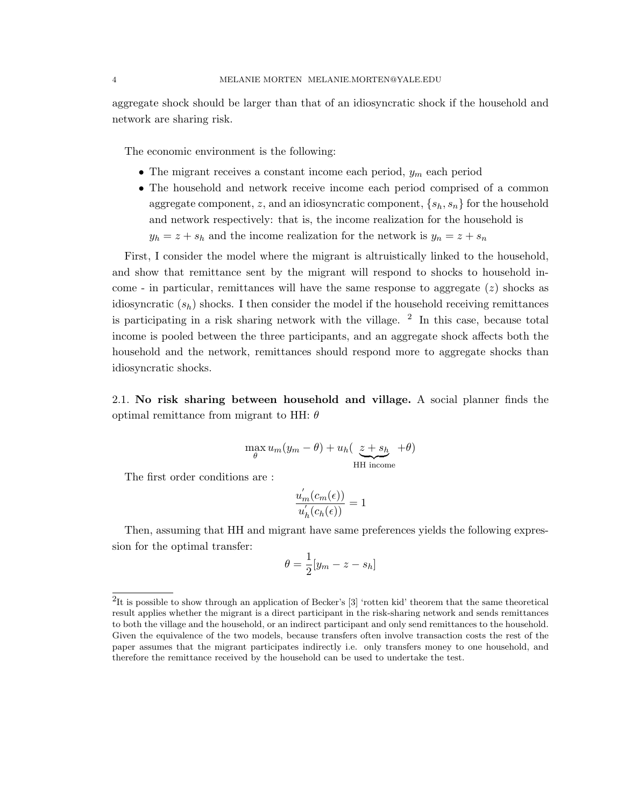aggregate shock should be larger than that of an idiosyncratic shock if the household and network are sharing risk.

The economic environment is the following:

- The migrant receives a constant income each period,  $y_m$  each period
- The household and network receive income each period comprised of a common aggregate component, z, and an idiosyncratic component,  $\{s_h, s_h\}$  for the household and network respectively: that is, the income realization for the household is  $y_h = z + s_h$  and the income realization for the network is  $y_n = z + s_h$

First, I consider the model where the migrant is altruistically linked to the household, and show that remittance sent by the migrant will respond to shocks to household income - in particular, remittances will have the same response to aggregate  $(z)$  shocks as idiosyncratic  $(s_h)$  shocks. I then consider the model if the household receiving remittances is participating in a risk sharing network with the village.  $2 \text{ In this case, because total}$ income is pooled between the three participants, and an aggregate shock affects both the household and the network, remittances should respond more to aggregate shocks than idiosyncratic shocks.

2.1. No risk sharing between household and village. A social planner finds the optimal remittance from migrant to HH:  $\theta$ 

$$
\max_{\theta} u_m(y_m - \theta) + u_h(\underbrace{z + s_h}_{\text{HH income}} + \theta)
$$

The first order conditions are :

$$
\frac{u'_m(c_m(\epsilon))}{u'_h(c_h(\epsilon))} = 1
$$

Then, assuming that HH and migrant have same preferences yields the following expression for the optimal transfer:

$$
\theta = \frac{1}{2}[y_m - z - s_h]
$$

<sup>&</sup>lt;sup>2</sup>It is possible to show through an application of Becker's [3] 'rotten kid' theorem that the same theoretical result applies whether the migrant is a direct participant in the risk-sharing network and sends remittances to both the village and the household, or an indirect participant and only send remittances to the household. Given the equivalence of the two models, because transfers often involve transaction costs the rest of the paper assumes that the migrant participates indirectly i.e. only transfers money to one household, and therefore the remittance received by the household can be used to undertake the test.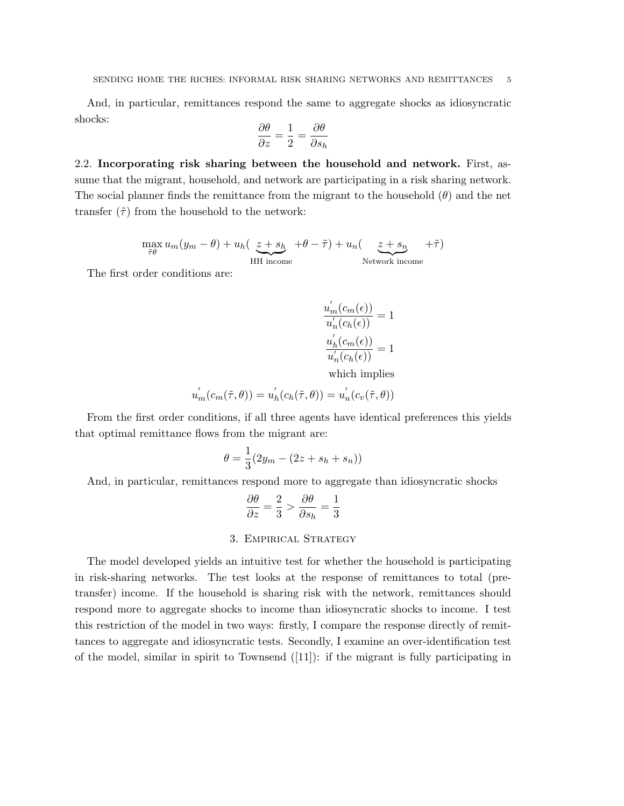And, in particular, remittances respond the same to aggregate shocks as idiosyncratic shocks:

$$
\frac{\partial \theta}{\partial z} = \frac{1}{2} = \frac{\partial \theta}{\partial s_h}
$$

2.2. Incorporating risk sharing between the household and network. First, assume that the migrant, household, and network are participating in a risk sharing network. The social planner finds the remittance from the migrant to the household  $(\theta)$  and the net transfer  $(\tilde{\tau})$  from the household to the network:

> $\max_{\tilde{\tau}\theta} u_m(y_m - \theta) + u_h(\underbrace{z + s_h}_{\tilde{\tau}\theta})$ HH income  $+\theta - \tilde{\tau}$ ) +  $u_n$ ( z + s<sub>n</sub> Network income  $+\tilde{\tau})$

The first order conditions are:

$$
\frac{u_m'(c_m(\epsilon))}{u_n'(c_h(\epsilon))}=1
$$
  

$$
\frac{u_h'(c_m(\epsilon))}{u_n'(c_h(\epsilon))}=1
$$

which implies

$$
u'_m(c_m(\tilde{\tau},\theta)) = u'_h(c_h(\tilde{\tau},\theta)) = u'_n(c_v(\tilde{\tau},\theta))
$$

From the first order conditions, if all three agents have identical preferences this yields that optimal remittance flows from the migrant are:

$$
\theta = \frac{1}{3}(2y_m - (2z + s_h + s_n))
$$

And, in particular, remittances respond more to aggregate than idiosyncratic shocks

$$
\frac{\partial \theta}{\partial z} = \frac{2}{3} > \frac{\partial \theta}{\partial s_h} = \frac{1}{3}
$$

### 3. Empirical Strategy

The model developed yields an intuitive test for whether the household is participating in risk-sharing networks. The test looks at the response of remittances to total (pretransfer) income. If the household is sharing risk with the network, remittances should respond more to aggregate shocks to income than idiosyncratic shocks to income. I test this restriction of the model in two ways: firstly, I compare the response directly of remittances to aggregate and idiosyncratic tests. Secondly, I examine an over-identification test of the model, similar in spirit to Townsend  $([11])$ : if the migrant is fully participating in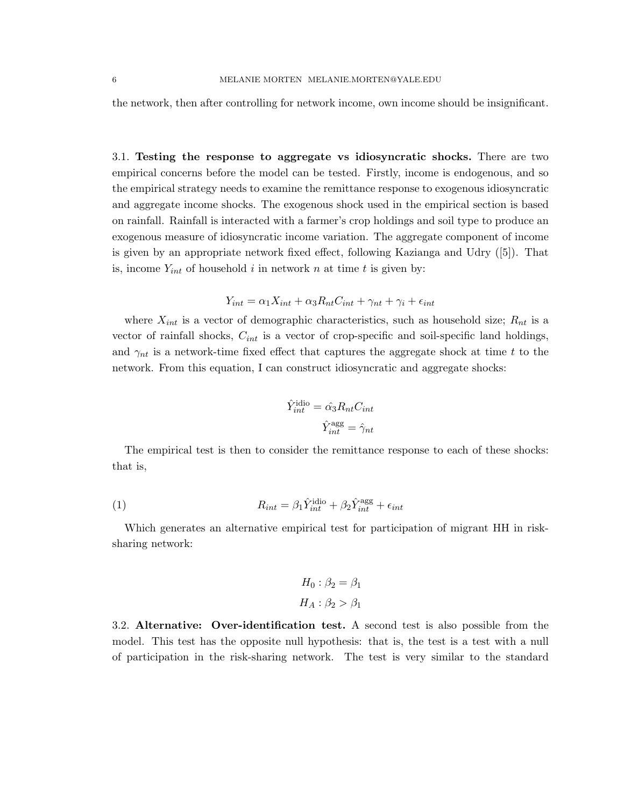the network, then after controlling for network income, own income should be insignificant.

3.1. Testing the response to aggregate vs idiosyncratic shocks. There are two empirical concerns before the model can be tested. Firstly, income is endogenous, and so the empirical strategy needs to examine the remittance response to exogenous idiosyncratic and aggregate income shocks. The exogenous shock used in the empirical section is based on rainfall. Rainfall is interacted with a farmer's crop holdings and soil type to produce an exogenous measure of idiosyncratic income variation. The aggregate component of income is given by an appropriate network fixed effect, following Kazianga and Udry ([5]). That is, income  $Y_{int}$  of household i in network n at time t is given by:

$$
Y_{int} = \alpha_1 X_{int} + \alpha_3 R_{nt} C_{int} + \gamma_{nt} + \gamma_i + \epsilon_{int}
$$

where  $X_{int}$  is a vector of demographic characteristics, such as household size;  $R_{nt}$  is a vector of rainfall shocks,  $C_{int}$  is a vector of crop-specific and soil-specific land holdings, and  $\gamma_{nt}$  is a network-time fixed effect that captures the aggregate shock at time t to the network. From this equation, I can construct idiosyncratic and aggregate shocks:

$$
\hat{Y}_{int}^{\text{idio}} = \hat{\alpha_3} R_{nt} C_{int}
$$

$$
\hat{Y}_{int}^{\text{agg}} = \hat{\gamma}_{nt}
$$

The empirical test is then to consider the remittance response to each of these shocks: that is,

(1) 
$$
R_{int} = \beta_1 \hat{Y}_{int}^{\text{idio}} + \beta_2 \hat{Y}_{int}^{\text{agg}} + \epsilon_{int}
$$

Which generates an alternative empirical test for participation of migrant HH in risksharing network:

$$
H_0: \beta_2 = \beta_1
$$

$$
H_A: \beta_2 > \beta_1
$$

3.2. Alternative: Over-identification test. A second test is also possible from the model. This test has the opposite null hypothesis: that is, the test is a test with a null of participation in the risk-sharing network. The test is very similar to the standard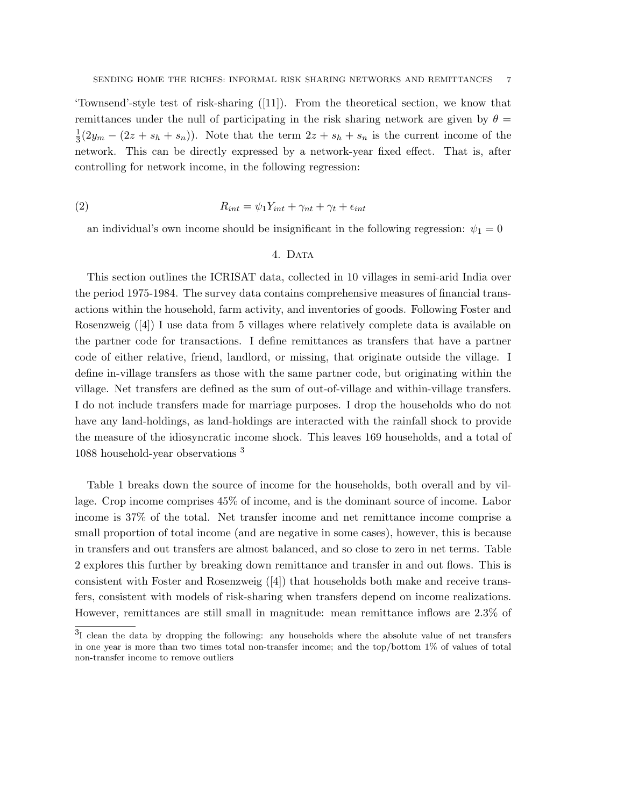'Townsend'-style test of risk-sharing ([11]). From the theoretical section, we know that remittances under the null of participating in the risk sharing network are given by  $\theta =$ 1  $\frac{1}{3}(2y_m - (2z + s_h + s_n))$ . Note that the term  $2z + s_h + s_n$  is the current income of the network. This can be directly expressed by a network-year fixed effect. That is, after controlling for network income, in the following regression:

$$
(2) \t\t R_{int} = \psi_1 Y_{int} + \gamma_{nt} + \gamma_t + \epsilon_{int}
$$

an individual's own income should be insignificant in the following regression:  $\psi_1 = 0$ 

#### 4. DATA

This section outlines the ICRISAT data, collected in 10 villages in semi-arid India over the period 1975-1984. The survey data contains comprehensive measures of financial transactions within the household, farm activity, and inventories of goods. Following Foster and Rosenzweig ([4]) I use data from 5 villages where relatively complete data is available on the partner code for transactions. I define remittances as transfers that have a partner code of either relative, friend, landlord, or missing, that originate outside the village. I define in-village transfers as those with the same partner code, but originating within the village. Net transfers are defined as the sum of out-of-village and within-village transfers. I do not include transfers made for marriage purposes. I drop the households who do not have any land-holdings, as land-holdings are interacted with the rainfall shock to provide the measure of the idiosyncratic income shock. This leaves 169 households, and a total of 1088 household-year observations <sup>3</sup>

Table 1 breaks down the source of income for the households, both overall and by village. Crop income comprises 45% of income, and is the dominant source of income. Labor income is 37% of the total. Net transfer income and net remittance income comprise a small proportion of total income (and are negative in some cases), however, this is because in transfers and out transfers are almost balanced, and so close to zero in net terms. Table 2 explores this further by breaking down remittance and transfer in and out flows. This is consistent with Foster and Rosenzweig ([4]) that households both make and receive transfers, consistent with models of risk-sharing when transfers depend on income realizations. However, remittances are still small in magnitude: mean remittance inflows are 2.3% of

<sup>&</sup>lt;sup>3</sup>I clean the data by dropping the following: any households where the absolute value of net transfers in one year is more than two times total non-transfer income; and the top/bottom 1% of values of total non-transfer income to remove outliers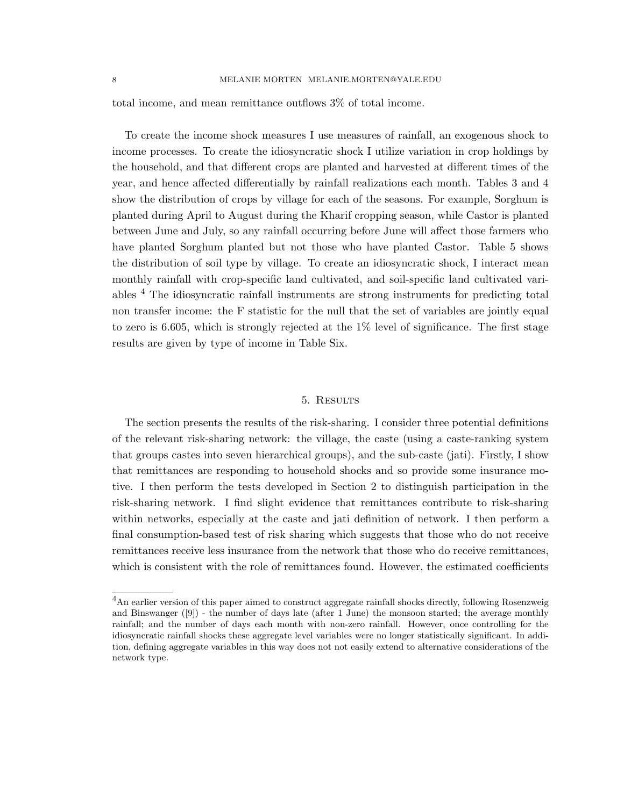total income, and mean remittance outflows 3% of total income.

To create the income shock measures I use measures of rainfall, an exogenous shock to income processes. To create the idiosyncratic shock I utilize variation in crop holdings by the household, and that different crops are planted and harvested at different times of the year, and hence affected differentially by rainfall realizations each month. Tables 3 and 4 show the distribution of crops by village for each of the seasons. For example, Sorghum is planted during April to August during the Kharif cropping season, while Castor is planted between June and July, so any rainfall occurring before June will affect those farmers who have planted Sorghum planted but not those who have planted Castor. Table 5 shows the distribution of soil type by village. To create an idiosyncratic shock, I interact mean monthly rainfall with crop-specific land cultivated, and soil-specific land cultivated variables <sup>4</sup> The idiosyncratic rainfall instruments are strong instruments for predicting total non transfer income: the F statistic for the null that the set of variables are jointly equal to zero is 6.605, which is strongly rejected at the  $1\%$  level of significance. The first stage results are given by type of income in Table Six.

#### 5. Results

The section presents the results of the risk-sharing. I consider three potential definitions of the relevant risk-sharing network: the village, the caste (using a caste-ranking system that groups castes into seven hierarchical groups), and the sub-caste (jati). Firstly, I show that remittances are responding to household shocks and so provide some insurance motive. I then perform the tests developed in Section 2 to distinguish participation in the risk-sharing network. I find slight evidence that remittances contribute to risk-sharing within networks, especially at the caste and jati definition of network. I then perform a final consumption-based test of risk sharing which suggests that those who do not receive remittances receive less insurance from the network that those who do receive remittances, which is consistent with the role of remittances found. However, the estimated coefficients

<sup>&</sup>lt;sup>4</sup>An earlier version of this paper aimed to construct aggregate rainfall shocks directly, following Rosenzweig and Binswanger ([9]) - the number of days late (after 1 June) the monsoon started; the average monthly rainfall; and the number of days each month with non-zero rainfall. However, once controlling for the idiosyncratic rainfall shocks these aggregate level variables were no longer statistically significant. In addition, defining aggregate variables in this way does not not easily extend to alternative considerations of the network type.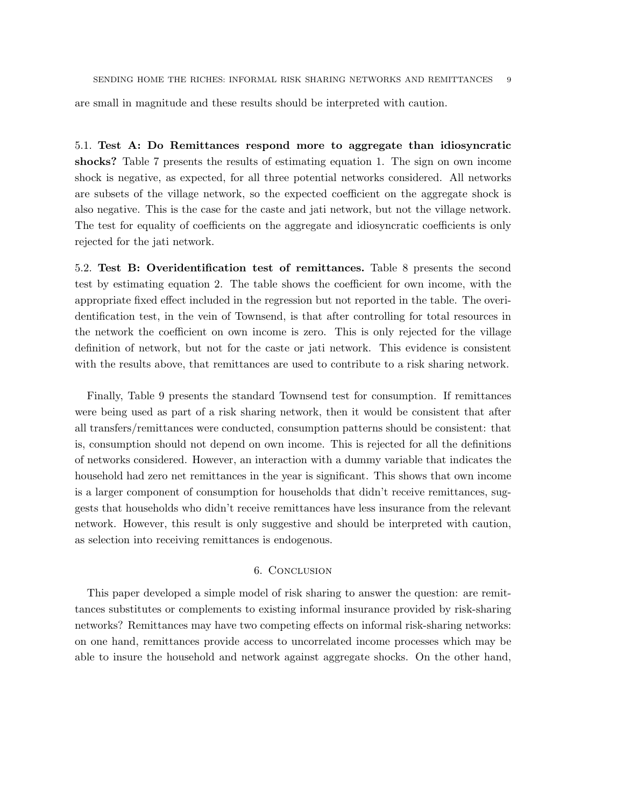are small in magnitude and these results should be interpreted with caution.

5.1. Test A: Do Remittances respond more to aggregate than idiosyncratic shocks? Table 7 presents the results of estimating equation 1. The sign on own income shock is negative, as expected, for all three potential networks considered. All networks are subsets of the village network, so the expected coefficient on the aggregate shock is also negative. This is the case for the caste and jati network, but not the village network. The test for equality of coefficients on the aggregate and idiosyncratic coefficients is only rejected for the jati network.

5.2. Test B: Overidentification test of remittances. Table 8 presents the second test by estimating equation 2. The table shows the coefficient for own income, with the appropriate fixed effect included in the regression but not reported in the table. The overidentification test, in the vein of Townsend, is that after controlling for total resources in the network the coefficient on own income is zero. This is only rejected for the village definition of network, but not for the caste or jati network. This evidence is consistent with the results above, that remittances are used to contribute to a risk sharing network.

Finally, Table 9 presents the standard Townsend test for consumption. If remittances were being used as part of a risk sharing network, then it would be consistent that after all transfers/remittances were conducted, consumption patterns should be consistent: that is, consumption should not depend on own income. This is rejected for all the definitions of networks considered. However, an interaction with a dummy variable that indicates the household had zero net remittances in the year is significant. This shows that own income is a larger component of consumption for households that didn't receive remittances, suggests that households who didn't receive remittances have less insurance from the relevant network. However, this result is only suggestive and should be interpreted with caution, as selection into receiving remittances is endogenous.

#### 6. Conclusion

This paper developed a simple model of risk sharing to answer the question: are remittances substitutes or complements to existing informal insurance provided by risk-sharing networks? Remittances may have two competing effects on informal risk-sharing networks: on one hand, remittances provide access to uncorrelated income processes which may be able to insure the household and network against aggregate shocks. On the other hand,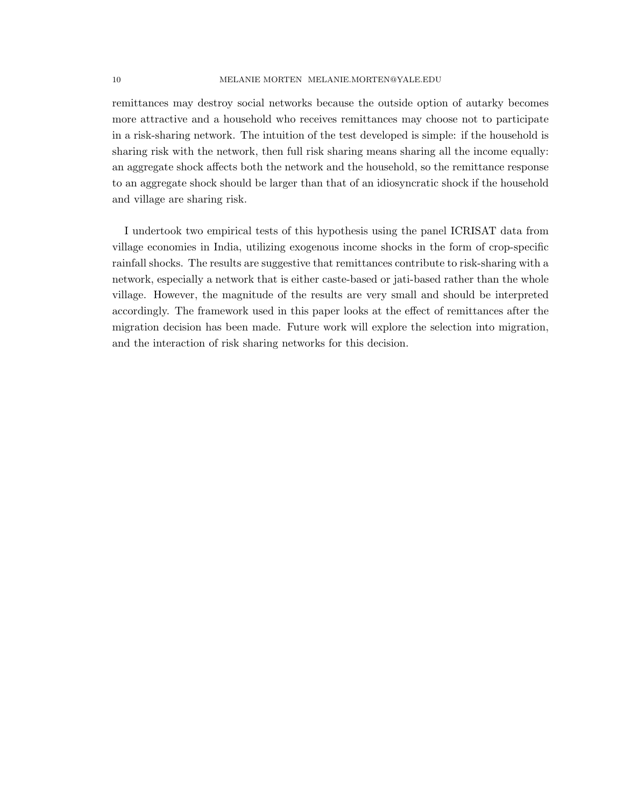#### 10 MELANIE MORTEN MELANIE.MORTEN@YALE.EDU

remittances may destroy social networks because the outside option of autarky becomes more attractive and a household who receives remittances may choose not to participate in a risk-sharing network. The intuition of the test developed is simple: if the household is sharing risk with the network, then full risk sharing means sharing all the income equally: an aggregate shock affects both the network and the household, so the remittance response to an aggregate shock should be larger than that of an idiosyncratic shock if the household and village are sharing risk.

I undertook two empirical tests of this hypothesis using the panel ICRISAT data from village economies in India, utilizing exogenous income shocks in the form of crop-specific rainfall shocks. The results are suggestive that remittances contribute to risk-sharing with a network, especially a network that is either caste-based or jati-based rather than the whole village. However, the magnitude of the results are very small and should be interpreted accordingly. The framework used in this paper looks at the effect of remittances after the migration decision has been made. Future work will explore the selection into migration, and the interaction of risk sharing networks for this decision.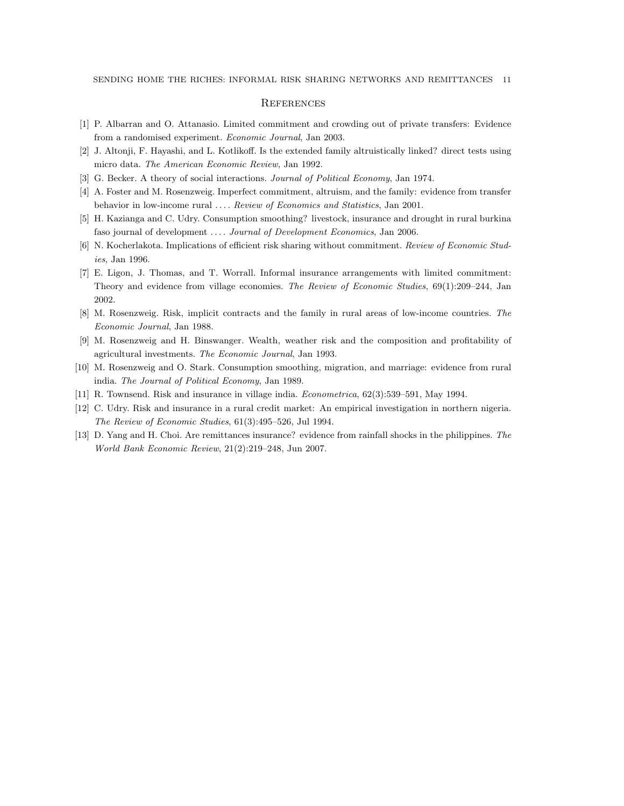#### **REFERENCES**

- [1] P. Albarran and O. Attanasio. Limited commitment and crowding out of private transfers: Evidence from a randomised experiment. Economic Journal, Jan 2003.
- [2] J. Altonji, F. Hayashi, and L. Kotlikoff. Is the extended family altruistically linked? direct tests using micro data. The American Economic Review, Jan 1992.
- [3] G. Becker. A theory of social interactions. Journal of Political Economy, Jan 1974.
- [4] A. Foster and M. Rosenzweig. Imperfect commitment, altruism, and the family: evidence from transfer behavior in low-income rural . . . . Review of Economics and Statistics, Jan 2001.
- [5] H. Kazianga and C. Udry. Consumption smoothing? livestock, insurance and drought in rural burkina faso journal of development .... Journal of Development Economics, Jan 2006.
- [6] N. Kocherlakota. Implications of efficient risk sharing without commitment. Review of Economic Studies, Jan 1996.
- [7] E. Ligon, J. Thomas, and T. Worrall. Informal insurance arrangements with limited commitment: Theory and evidence from village economies. The Review of Economic Studies, 69(1):209–244, Jan 2002.
- [8] M. Rosenzweig. Risk, implicit contracts and the family in rural areas of low-income countries. The Economic Journal, Jan 1988.
- [9] M. Rosenzweig and H. Binswanger. Wealth, weather risk and the composition and profitability of agricultural investments. The Economic Journal, Jan 1993.
- [10] M. Rosenzweig and O. Stark. Consumption smoothing, migration, and marriage: evidence from rural india. The Journal of Political Economy, Jan 1989.
- [11] R. Townsend. Risk and insurance in village india. Econometrica, 62(3):539–591, May 1994.
- [12] C. Udry. Risk and insurance in a rural credit market: An empirical investigation in northern nigeria. The Review of Economic Studies, 61(3):495–526, Jul 1994.
- [13] D. Yang and H. Choi. Are remittances insurance? evidence from rainfall shocks in the philippines. The World Bank Economic Review, 21(2):219–248, Jun 2007.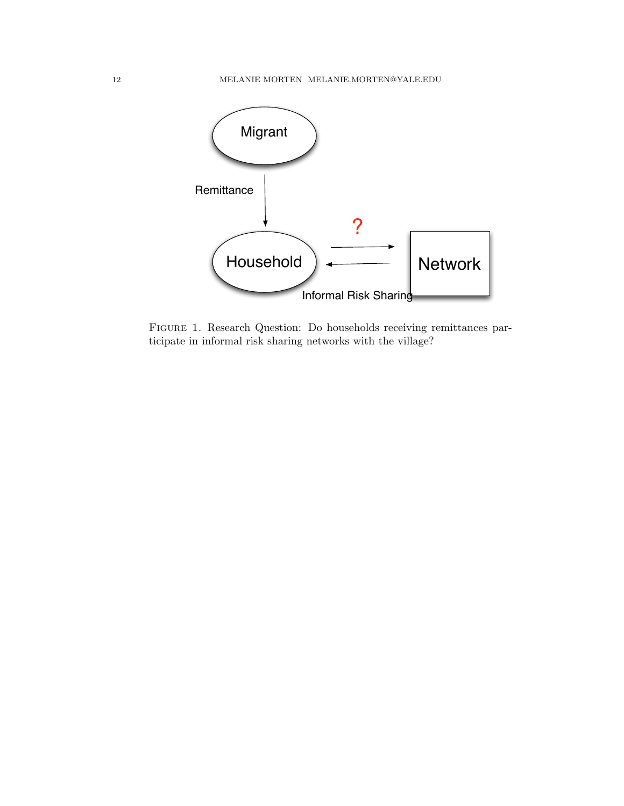

Figure 1. Research Question: Do households receiving remittances participate in informal risk sharing networks with the village?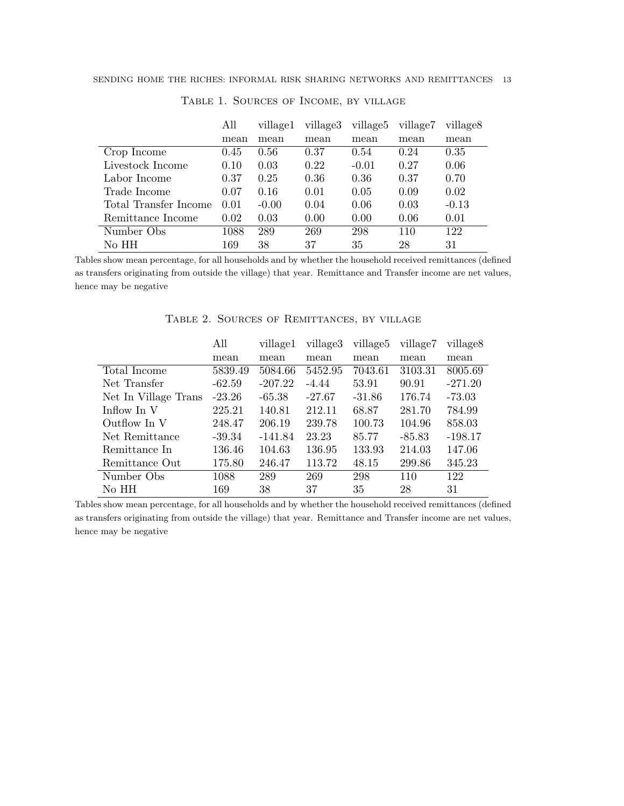|                       | All  | village1 | village3 | village <sub>5</sub> | village7 | village <sub>8</sub> |
|-----------------------|------|----------|----------|----------------------|----------|----------------------|
|                       | mean | mean     | mean     | mean                 | mean     | mean                 |
| Crop Income           | 0.45 | 0.56     | 0.37     | 0.54                 | 0.24     | 0.35                 |
| Livestock Income      | 0.10 | 0.03     | 0.22     | $-0.01$              | 0.27     | 0.06                 |
| Labor Income          | 0.37 | 0.25     | 0.36     | 0.36                 | 0.37     | 0.70                 |
| Trade Income          | 0.07 | 0.16     | 0.01     | 0.05                 | 0.09     | 0.02                 |
| Total Transfer Income | 0.01 | $-0.00$  | 0.04     | 0.06                 | 0.03     | $-0.13$              |
| Remittance Income     | 0.02 | 0.03     | 0.00     | 0.00                 | 0.06     | 0.01                 |
| Number Obs            | 1088 | 289      | 269      | 298                  | 110      | 122                  |
| No HH                 | 169  | 38       | 37       | 35                   | 28       | 31                   |

Table 1. Sources of Income, by village

Tables show mean percentage, for all households and by whether the household received remittances (defined as transfers originating from outside the village) that year. Remittance and Transfer income are net values, hence may be negative

| INDEE E, NOVIQED OF IQEMILIMIQED, DI TEERQE |          |           |          |          |          |           |  |  |
|---------------------------------------------|----------|-----------|----------|----------|----------|-----------|--|--|
|                                             | All      | village1  | village3 | village5 | village7 | village8  |  |  |
|                                             | mean     | mean      | mean     | mean     | mean     | mean      |  |  |
| Total Income                                | 5839.49  | 5084.66   | 5452.95  | 7043.61  | 3103.31  | 8005.69   |  |  |
| Net Transfer                                | $-62.59$ | $-207.22$ | $-4.44$  | 53.91    | 90.91    | $-271.20$ |  |  |
| Net In Village Trans                        | $-23.26$ | $-65.38$  | $-27.67$ | $-31.86$ | 176.74   | $-73.03$  |  |  |
| Inflow In V                                 | 225.21   | 140.81    | 212.11   | 68.87    | 281.70   | 784.99    |  |  |
| Outflow In V                                | 248.47   | 206.19    | 239.78   | 100.73   | 104.96   | 858.03    |  |  |
| Net Remittance                              | -39.34   | $-141.84$ | 23.23    | 85.77    | $-85.83$ | $-198.17$ |  |  |
| Remittance In                               | 136.46   | 104.63    | 136.95   | 133.93   | 214.03   | 147.06    |  |  |

TABLE 2. SOURCES OF REMITTANCES, BY VILLAGE

Tables show mean percentage, for all households and by whether the household received remittances (defined as transfers originating from outside the village) that year. Remittance and Transfer income are net values, hence may be negative

Remittance Out 175.80 246.47 113.72 48.15 299.86 345.23 Number Obs 1088 289 269 298 110 122 No HH 169 38 37 35 28 31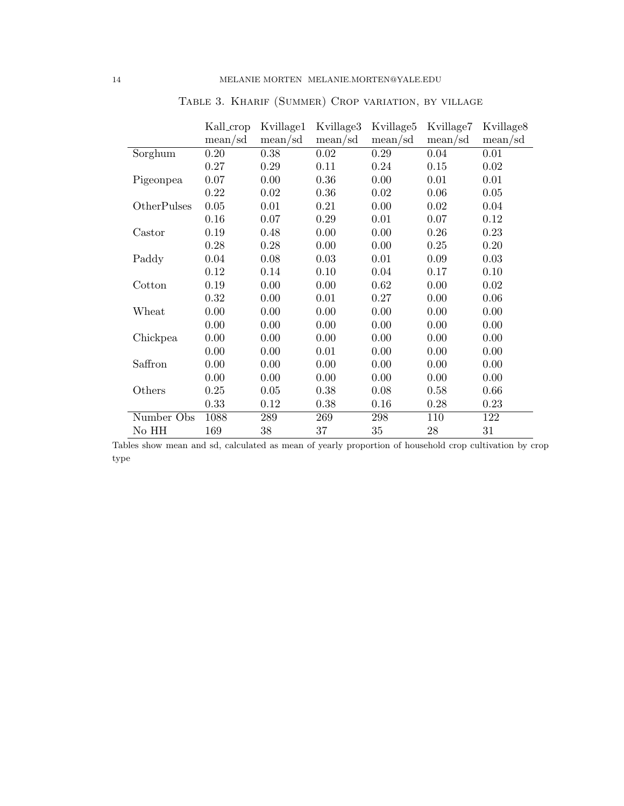|             | Kall_crop | Kvillage1 | Kvillage3 | Kvillage <sub>5</sub> | Kvillage7 | Kvillage <sub>8</sub> |
|-------------|-----------|-----------|-----------|-----------------------|-----------|-----------------------|
|             | mean/sd   | mean/sd   | mean/sd   | mean/sd               | mean/sd   | mean/sd               |
| Sorghum     | 0.20      | 0.38      | 0.02      | 0.29                  | 0.04      | 0.01                  |
|             | 0.27      | 0.29      | 0.11      | 0.24                  | 0.15      | 0.02                  |
| Pigeonpea   | 0.07      | 0.00      | 0.36      | 0.00                  | 0.01      | 0.01                  |
|             | 0.22      | 0.02      | 0.36      | $0.02\,$              | 0.06      | 0.05                  |
| OtherPulses | 0.05      | 0.01      | 0.21      | 0.00                  | 0.02      | 0.04                  |
|             | 0.16      | 0.07      | 0.29      | 0.01                  | 0.07      | 0.12                  |
| Castor      | 0.19      | 0.48      | 0.00      | 0.00                  | 0.26      | 0.23                  |
|             | 0.28      | 0.28      | 0.00      | 0.00                  | 0.25      | 0.20                  |
| Paddy       | 0.04      | 0.08      | 0.03      | 0.01                  | 0.09      | 0.03                  |
|             | 0.12      | 0.14      | 0.10      | 0.04                  | 0.17      | 0.10                  |
| Cotton      | 0.19      | 0.00      | 0.00      | 0.62                  | 0.00      | 0.02                  |
|             | 0.32      | 0.00      | 0.01      | 0.27                  | 0.00      | 0.06                  |
| Wheat       | 0.00      | 0.00      | 0.00      | 0.00                  | 0.00      | 0.00                  |
|             | 0.00      | 0.00      | 0.00      | 0.00                  | 0.00      | 0.00                  |
| Chickpea    | 0.00      | 0.00      | 0.00      | 0.00                  | 0.00      | 0.00                  |
|             | 0.00      | 0.00      | 0.01      | 0.00                  | 0.00      | 0.00                  |
| Saffron     | 0.00      | 0.00      | 0.00      | 0.00                  | 0.00      | 0.00                  |
|             | 0.00      | 0.00      | 0.00      | 0.00                  | 0.00      | 0.00                  |
| Others      | 0.25      | 0.05      | 0.38      | 0.08                  | 0.58      | 0.66                  |
|             | 0.33      | 0.12      | 0.38      | 0.16                  | 0.28      | 0.23                  |
| Number Obs  | 1088      | 289       | 269       | 298                   | 110       | 122                   |
| No HH       | 169       | 38        | 37        | $35\,$                | $28\,$    | 31                    |

Table 3. Kharif (Summer) Crop variation, by village

Tables show mean and sd, calculated as mean of yearly proportion of household crop cultivation by crop type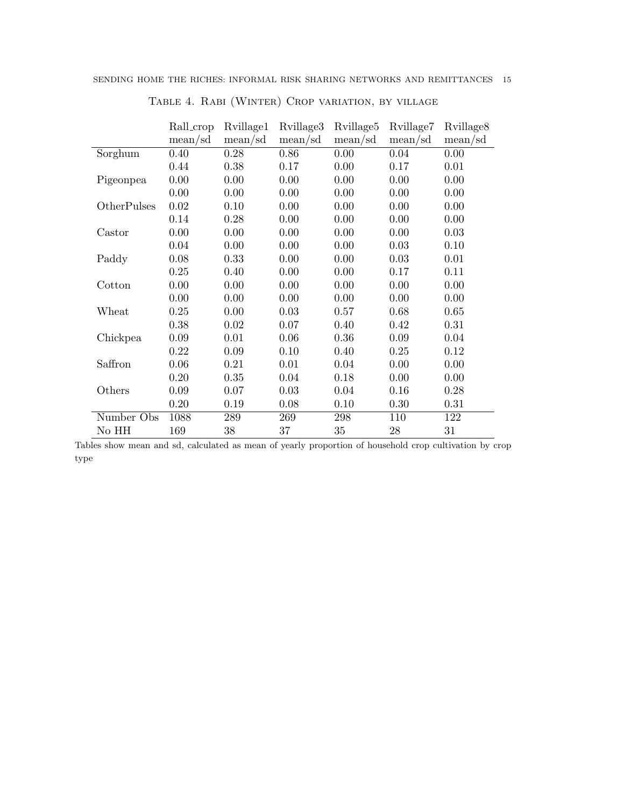|             | Rall_crop | Rvillage1 | Rvillage3 | Rvillage <sub>5</sub> | Rvillage7                      | Rvillage <sub>8</sub> |
|-------------|-----------|-----------|-----------|-----------------------|--------------------------------|-----------------------|
|             | mean/sd   | mean/sd   | mean/sd   | mean/sd               | mean/sd                        | mean/sd               |
| Sorghum     | 0.40      | 0.28      | 0.86      | 0.00                  | 0.04                           | 0.00                  |
|             | 0.44      | 0.38      | 0.17      | 0.00                  | 0.17                           | 0.01                  |
| Pigeonpea   | 0.00      | 0.00      | 0.00      | 0.00                  | 0.00                           | 0.00                  |
|             | 0.00      | 0.00      | 0.00      | 0.00                  | 0.00                           | 0.00                  |
| OtherPulses | 0.02      | 0.10      | 0.00      | 0.00                  | 0.00                           | 0.00                  |
|             | 0.14      | 0.28      | 0.00      | 0.00                  | 0.00                           | 0.00                  |
| Castor      | 0.00      | 0.00      | 0.00      | 0.00                  | 0.00                           | 0.03                  |
|             | 0.04      | 0.00      | 0.00      | 0.00                  | 0.03                           | 0.10                  |
| Paddy       | 0.08      | 0.33      | 0.00      | 0.00                  | 0.03                           | 0.01                  |
|             | 0.25      | 0.40      | 0.00      | 0.00                  | 0.17                           | 0.11                  |
| Cotton      | 0.00      | 0.00      | 0.00      | 0.00                  | 0.00                           | 0.00                  |
|             | 0.00      | 0.00      | 0.00      | 0.00                  | 0.00                           | 0.00                  |
| Wheat       | 0.25      | 0.00      | 0.03      | 0.57                  | 0.68                           | 0.65                  |
|             | 0.38      | 0.02      | 0.07      | 0.40                  | 0.42                           | 0.31                  |
| Chickpea    | 0.09      | 0.01      | 0.06      | 0.36                  | 0.09                           | 0.04                  |
|             | 0.22      | 0.09      | 0.10      | 0.40                  | 0.25                           | 0.12                  |
| Saffron     | 0.06      | 0.21      | 0.01      | 0.04                  | 0.00                           | 0.00                  |
|             | 0.20      | 0.35      | 0.04      | 0.18                  | 0.00                           | 0.00                  |
| Others      | 0.09      | 0.07      | 0.03      | 0.04                  | 0.16                           | 0.28                  |
|             | 0.20      | 0.19      | 0.08      | 0.10                  | 0.30                           | 0.31                  |
| Number Obs  | 1088      | 289       | 269       | 298                   | 110                            | 122                   |
| $\rm No~HH$ | 169       | 38        | 37        | 35                    | $\ensuremath{\mathnormal{28}}$ | 31                    |

Table 4. Rabi (Winter) Crop variation, by village

Tables show mean and sd, calculated as mean of yearly proportion of household crop cultivation by crop type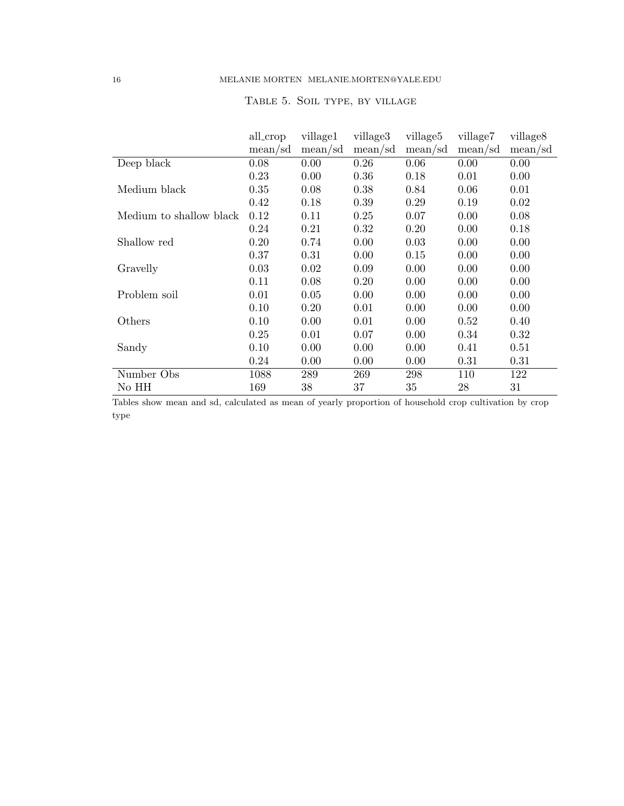|                         | all_crop | village1 | village3 | village <sub>5</sub> | village7 | village <sub>8</sub> |
|-------------------------|----------|----------|----------|----------------------|----------|----------------------|
|                         | mean/sd  | mean/sd  | mean/sd  | mean/sd              | mean/sd  | mean/sd              |
| Deep black              | 0.08     | 0.00     | 0.26     | 0.06                 | 0.00     | 0.00                 |
|                         | 0.23     | 0.00     | 0.36     | 0.18                 | 0.01     | 0.00                 |
| Medium black            | 0.35     | 0.08     | 0.38     | 0.84                 | 0.06     | 0.01                 |
|                         | 0.42     | 0.18     | 0.39     | 0.29                 | 0.19     | 0.02                 |
| Medium to shallow black | 0.12     | 0.11     | 0.25     | 0.07                 | 0.00     | 0.08                 |
|                         | 0.24     | 0.21     | 0.32     | 0.20                 | 0.00     | 0.18                 |
| Shallow red             | 0.20     | 0.74     | 0.00     | 0.03                 | 0.00     | 0.00                 |
|                         | 0.37     | 0.31     | 0.00     | 0.15                 | 0.00     | 0.00                 |
| Gravelly                | 0.03     | 0.02     | 0.09     | 0.00                 | 0.00     | 0.00                 |
|                         | 0.11     | 0.08     | 0.20     | 0.00                 | 0.00     | 0.00                 |
| Problem soil            | 0.01     | 0.05     | 0.00     | 0.00                 | 0.00     | 0.00                 |
|                         | 0.10     | 0.20     | 0.01     | 0.00                 | 0.00     | 0.00                 |
| Others                  | 0.10     | 0.00     | 0.01     | 0.00                 | 0.52     | 0.40                 |
|                         | 0.25     | 0.01     | 0.07     | 0.00                 | 0.34     | 0.32                 |
| Sandy                   | 0.10     | 0.00     | 0.00     | 0.00                 | 0.41     | 0.51                 |
|                         | 0.24     | 0.00     | 0.00     | 0.00                 | 0.31     | 0.31                 |
| Number Obs              | 1088     | 289      | 269      | 298                  | 110      | 122                  |
| No HH                   | 169      | 38       | 37       | 35                   | 28       | 31                   |

# TABLE 5. SOIL TYPE, BY VILLAGE

Tables show mean and sd, calculated as mean of yearly proportion of household crop cultivation by crop type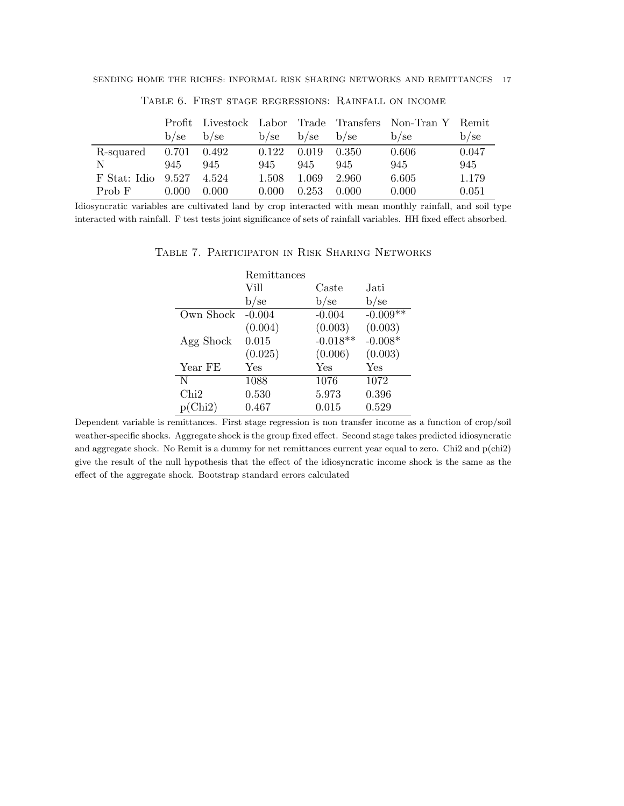|              |         |       |         |         |         | Profit Livestock Labor Trade Transfers Non-Tran Y Remit |       |
|--------------|---------|-------|---------|---------|---------|---------------------------------------------------------|-------|
|              | $b$ /se | b/sec | $b$ /se | $b$ /se | $b$ /se | b/sec                                                   | b/sec |
| R-squared    | 0.701   | 0.492 | 0.122   | 0.019   | - 0.350 | 0.606                                                   | 0.047 |
| N            | 945     | 945   | 945     | 945     | 945     | 945                                                     | 945   |
| F Stat: Idio | 9.527   | 4.524 | 1.508   | 1.069   | 2.960   | 6.605                                                   | 1.179 |
| Prob F       | 0.000   | 0.000 | 0.000   | 0.253   | 0.000   | 0.000                                                   | 0.051 |

Table 6. First stage regressions: Rainfall on income

Idiosyncratic variables are cultivated land by crop interacted with mean monthly rainfall, and soil type interacted with rainfall. F test tests joint significance of sets of rainfall variables. HH fixed effect absorbed.

|           | Remittances |            |            |
|-----------|-------------|------------|------------|
|           | Vill        | Caste      | Jati       |
|           | b/se        | b/se       | b/se       |
| Own Shock | $-0.004$    | $-0.004$   | $-0.009**$ |
|           | (0.004)     | (0.003)    | (0.003)    |
| Agg Shock | 0.015       | $-0.018**$ | $-0.008*$  |
|           | (0.025)     | (0.006)    | (0.003)    |
| Year FE   | Yes         | Yes        | Yes        |
| N         | 1088        | 1076       | 1072       |
| Chi2      | 0.530       | 5.973      | 0.396      |
| p(Chi2)   | 0.467       | 0.015      | 0.529      |

Table 7. Participaton in Risk Sharing Networks

Dependent variable is remittances. First stage regression is non transfer income as a function of crop/soil weather-specific shocks. Aggregate shock is the group fixed effect. Second stage takes predicted idiosyncratic and aggregate shock. No Remit is a dummy for net remittances current year equal to zero. Chi2 and p(chi2) give the result of the null hypothesis that the effect of the idiosyncratic income shock is the same as the effect of the aggregate shock. Bootstrap standard errors calculated